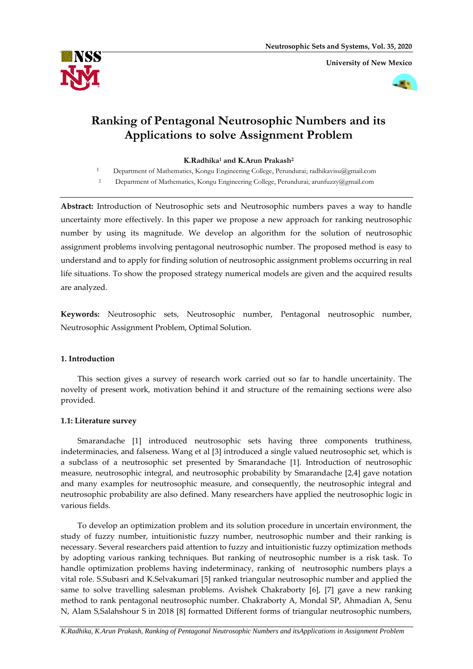**University of New Mexico**





# **Ranking of Pentagonal Neutrosophic Numbers and its Applications to solve Assignment Problem**

**K.Radhika<sup>1</sup> and K.Arun Prakash<sup>2</sup>**

<sup>1</sup> Department of Mathematics, Kongu Engineering College, Perundurai; [radhikavisu@gmail.com](mailto:radhikavisu@gmail.com)

<sup>2</sup> Department of Mathematics, Kongu Engineering College, Perundurai; [arunfuzzy@gmail.com](mailto:arunfuzzy@gmail.com)

**Abstract:** Introduction of Neutrosophic sets and Neutrosophic numbers paves a way to handle uncertainty more effectively. In this paper we propose a new approach for ranking neutrosophic number by using its magnitude. We develop an algorithm for the solution of neutrosophic assignment problems involving pentagonal neutrosophic number. The proposed method is easy to understand and to apply for finding solution of neutrosophic assignment problems occurring in real life situations. To show the proposed strategy numerical models are given and the acquired results are analyzed.

**Keywords:** Neutrosophic sets, Neutrosophic number, Pentagonal neutrosophic number, Neutrosophic Assignment Problem, Optimal Solution.

# **1. Introduction**

This section gives a survey of research work carried out so far to handle uncertainity. The novelty of present work, motivation behind it and structure of the remaining sections were also provided.

# **1.1: Literature survey**

Smarandache [1] introduced neutrosophic sets having three components truthiness, indeterminacies, and falseness. Wang et al [3] introduced a single valued neutrosophic set, which is a subclass of a neutrosophic set presented by Smarandache [1]. Introduction of neutrosophic measure, neutrosophic integral, and neutrosophic probability by Smarandache [2,4] gave notation and many examples for neutrosophic measure, and consequently, the neutrosophic integral and neutrosophic probability are also defined. Many researchers have applied the neutrosophic logic in various fields.

To develop an optimization problem and its solution procedure in uncertain environment, the study of fuzzy number, intuitionistic fuzzy number, neutrosophic number and their ranking is necessary. Several researchers paid attention to fuzzy and intuitionistic fuzzy optimization methods by adopting various ranking techniques. But ranking of neutrosophic number is a risk task. To handle optimization problems having indeterminacy, ranking of neutrosophic numbers plays a vital role. S.Subasri and K.Selvakumari [5] ranked triangular neutrosophic number and applied the same to solve travelling salesman problems. Avishek Chakraborty [6], [7] gave a new ranking method to rank pentagonal neutrosophic number. Chakraborty A, Mondal SP, Ahmadian A, Senu N, Alam S,Salahshour S in 2018 [8] formatted Different forms of triangular neutrosophic numbers,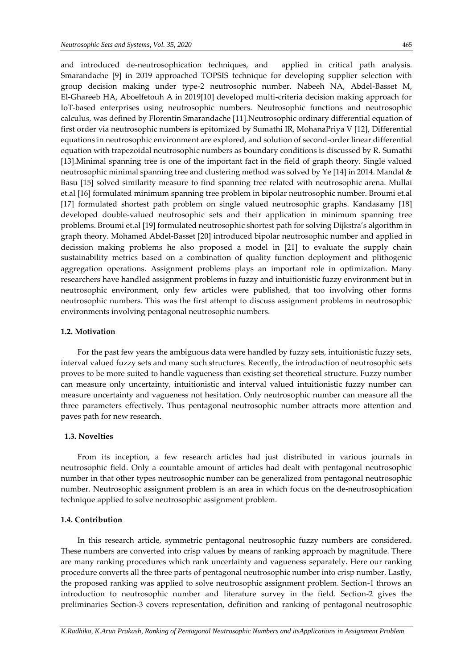and introduced de-neutrosophication techniques, and applied in critical path analysis. Smarandache [9] in 2019 approached TOPSIS technique for developing supplier selection with group decision making under type-2 neutrosophic number. Nabeeh NA, Abdel-Basset M, El-Ghareeb HA, Aboelfetouh A in 2019[10] developed multi-criteria decision making approach for IoT-based enterprises using neutrosophic numbers. Neutrosophic functions and neutrosophic calculus, was defined by Florentin Smarandache [11].Neutrosophic ordinary differential equation of first order via neutrosophic numbers is epitomized by Sumathi IR, MohanaPriya V [12], Differential equations in neutrosophic environment are explored, and solution of second-order linear differential equation with trapezoidal neutrosophic numbers as boundary conditions is discussed by R. Sumathi [13].Minimal spanning tree is one of the important fact in the field of graph theory. Single valued neutrosophic minimal spanning tree and clustering method was solved by Ye [14] in 2014. Mandal & Basu [15] solved similarity measure to find spanning tree related with neutrosophic arena. Mullai et.al [16] formulated minimum spanning tree problem in bipolar neutrosophic number. Broumi et.al [17] formulated shortest path problem on single valued neutrosophic graphs. Kandasamy [18] developed double-valued neutrosophic sets and their application in minimum spanning tree problems. Broumi et.al [19] formulated neutrosophic shortest path for solving Dijkstra's algorithm in graph theory. Mohamed Abdel-Basset [20] introduced bipolar neutrosophic number and applied in decission making problems he also proposed a model in [21] to evaluate the supply chain sustainability metrics based on a combination of quality function deployment and plithogenic aggregation operations. Assignment problems plays an important role in optimization. Many researchers have handled assignment problems in fuzzy and intuitionistic fuzzy environment but in neutrosophic environment, only few articles were published, that too involving other forms neutrosophic numbers. This was the first attempt to discuss assignment problems in neutrosophic environments involving pentagonal neutrosophic numbers.

## **1.2. Motivation**

For the past few years the ambiguous data were handled by fuzzy sets, intuitionistic fuzzy sets, interval valued fuzzy sets and many such structures. Recently, the introduction of neutrosophic sets proves to be more suited to handle vagueness than existing set theoretical structure. Fuzzy number can measure only uncertainty, intuitionistic and interval valued intuitionistic fuzzy number can measure uncertainty and vagueness not hesitation. Only neutrosophic number can measure all the three parameters effectively. Thus pentagonal neutrosophic number attracts more attention and paves path for new research.

#### **1.3. Novelties**

From its inception, a few research articles had just distributed in various journals in neutrosophic field. Only a countable amount of articles had dealt with pentagonal neutrosophic number in that other types neutrosophic number can be generalized from pentagonal neutrosophic number. Neutrosophic assignment problem is an area in which focus on the de-neutrosophication technique applied to solve neutrosophic assignment problem.

## **1.4. Contribution**

In this research article, symmetric pentagonal neutrosophic fuzzy numbers are considered. These numbers are converted into crisp values by means of ranking approach by magnitude. There are many ranking procedures which rank uncertainty and vagueness separately. Here our ranking procedure converts all the three parts of pentagonal neutrosophic number into crisp number. Lastly, the proposed ranking was applied to solve neutrosophic assignment problem. Section-1 throws an introduction to neutrosophic number and literature survey in the field. Section-2 gives the preliminaries Section-3 covers representation, definition and ranking of pentagonal neutrosophic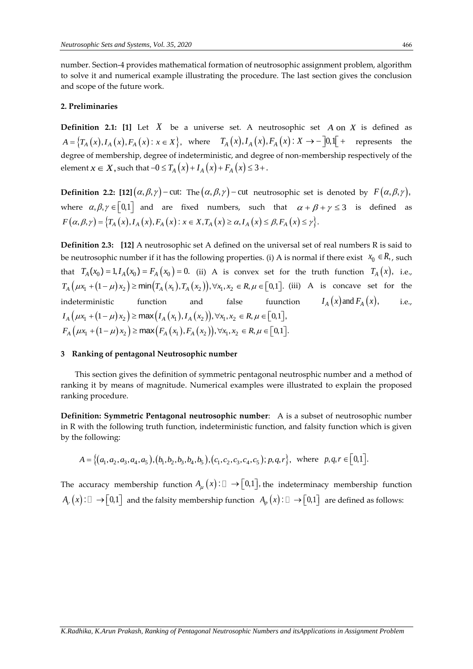number. Section-4 provides mathematical formation of neutrosophic assignment problem, algorithm to solve it and numerical example illustrating the procedure. The last section gives the conclusion and scope of the future work.

## **2. Preliminaries**

**Definition 2.1:** [1] Let X be a universe set. A neutrosophic set A on X is defined as  $A = \{T_A(x), I_A(x), F_A(x): x \in X\}$ , where  $T_A(x), I_A(x), F_A(x): X \to -[0,1[$  + represents the degree of membership, degree of indeterministic, and degree of non-membership respectively of the degree of membership, degree of matternalistic, and degree  $\alpha$ <br>element  $x \in X$ , such that  $-0 \le T_A(x) + T_A(x) + F_A(x) \le 3 +$ .

 ${\bf Definition}$  2.2:  $[12](\alpha,\beta,\gamma)-{\rm cut}\colon$  The  $(\alpha,\beta,\gamma)-{\rm cut}\;$  neutrosophic set is denoted by  $\;F\big(\alpha,\beta,\gamma\big),$ where  $\alpha, \beta, \gamma \in [0,1]$  and are fixed numbers, such that  $\alpha + \beta + \gamma \leq 3$  is defined as *F T x I x F x x X T x I x F x* , , , , : , , , . *A A A A A A*

**Definition 2.3: [12]** A neutrosophic set A defined on the universal set of real numbers R is said to be neutrosophic number if it has the following properties. (i) A is normal if there exist  $x_0 \in R$ , , such that  $T_A(x_0) = 1, I_A(x_0) = F_A(x_0) = 0$ . (ii) A is convex set for the truth function  $T_A(x)$ , i.e., that  $T_A(x_0) = 1, I_A(x_0) = F_A(x_0) = 0$ . (ii) A is convex set for the truth function  $T_A(x)$ , i.e.,  $T_A(\mu x_1 + (1 - \mu)x_2) \ge \min(T_A(x_1), T_A(x_2)), \forall x_1, x_2 \in R, \mu \in [0,1]$ . (iii) A is concave set for the indeterministic function and false fuunction  $I_A(x)$  and  $F_A(x)$ , i.e.,  $I_A ig( \mu x_1 + (1 - \mu) x_2 \big) \ge \max \big( I_A \big( x_1 \big), I_A \big( x_2 \big) \big), \forall x_1, x_2 \in R, \mu \in [0, 1],$ <br> $F_A \big( \mu x_1 + (1 - \mu) x_2 \big) \ge \max \big( F_A \big( x_1 \big), F_A \big( x_2 \big) \big), \forall x_1, x_2 \in R, \mu \in [0, 1].$ 

## **3 Ranking of pentagonal Neutrosophic number**

 This section gives the definition of symmetric pentagonal neutrosphic number and a method of ranking it by means of magnitude. Numerical examples were illustrated to explain the proposed ranking procedure.

**Definition: Symmetric Pentagonal neutrosophic number**: A is a subset of neutrosophic number in R with the following truth function, indeterministic function, and falsity function which is given by the following:

e following:  
\n
$$
A = \{(a_1, a_2, a_3, a_4, a_5), (b_1, b_2, b_3, b_4, b_5), (c_1, c_2, c_3, c_4, c_5); p, q, r\}, \text{ where } p, q, r \in [0, 1].
$$

The accuracy membership function  $A_\mu(x)$ :  $\Box \rightarrow [0,1]$ , the indeterminacy membership function  $A_{\nu}\left(x\right):\Box\to\llbracket 0,1\rrbracket$  and the falsity membership function  $\ A_{\varphi}\left(x\right):\Box\to\llbracket 0,1\rrbracket$  are defined as follows: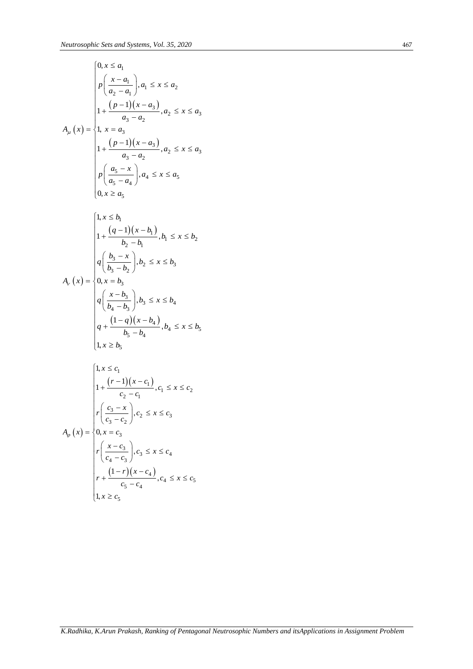$$
A_{\mu}(x) = \begin{cases} 0, x \le a_1 \\ p\left(\frac{x-a_1}{a_2-a_1}\right), a_1 \le x \le a_2 \\ 1 + \frac{(p-1)(x-a_3)}{a_3-a_2}, a_2 \le x \le a_3 \\ 1, x = a_3 \\ 1 + \frac{(p-1)(x-a_3)}{a_3-a_2}, a_2 \le x \le a_3 \\ p\left(\frac{a_5-x}{a_5-a_4}\right), a_4 \le x \le a_5 \\ 0, x \ge a_5 \end{cases}
$$

$$
A_{\nu}(x) = \begin{cases} 1, x \le b_1 \\ 1 + \frac{(q-1)(x - b_1)}{b_2 - b_1}, b_1 \le x \le b_2 \\ q \left( \frac{b_3 - x}{b_3 - b_2} \right), b_2 \le x \le b_3 \\ 0, x = b_3 \\ q \left( \frac{x - b_3}{b_4 - b_3} \right), b_3 \le x \le b_4 \\ q + \frac{(1 - q)(x - b_4)}{b_5 - b_4}, b_4 \le x \le b_5 \\ 1, x \ge b_5 \end{cases}
$$

$$
A_{\varphi}(x) = \begin{cases} 1, x \le c_1 \\ 1 + \frac{(r-1)(x-c_1)}{c_2 - c_1}, c_1 \le x \le c_2 \\ r\left(\frac{c_3 - x}{c_3 - c_2}\right), c_2 \le x \le c_3 \\ 0, x = c_3 \\ r\left(\frac{x - c_3}{c_4 - c_3}\right), c_3 \le x \le c_4 \\ r + \frac{(1 - r)(x - c_4)}{c_5 - c_4}, c_4 \le x \le c_5 \\ 1, x \ge c_5 \end{cases}
$$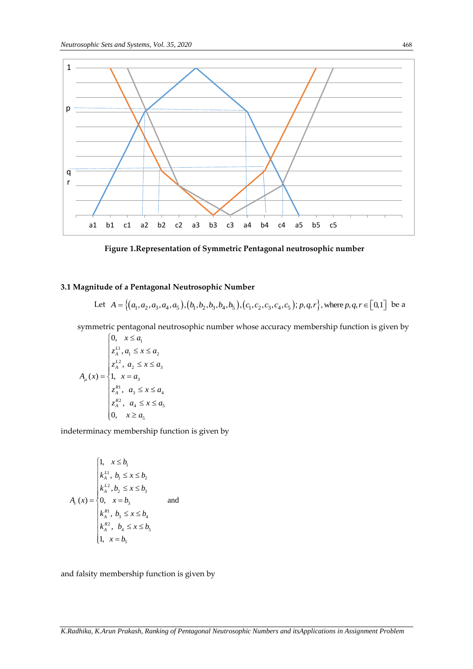

**Figure 1.Representation of Symmetric Pentagonal neutrosophic number**

## **3.1 Magnitude of a Pentagonal Neutrosophic Number**

**little of a Pentagonal Neutrosophic Number**  
Let 
$$
A = \{(a_1, a_2, a_3, a_4, a_5), (b_1, b_2, b_3, b_4, b_5), (c_1, c_2, c_3, c_4, c_5); p, q, r\}
$$
, where  $p, q, r \in [0, 1]$  be a

symmetric pentagonal neutrosophic number whose accuracy membership function is given by

$$
A_{\mu}(x) = \begin{cases} 0, & x \leq a_1 \\ z_{A}^{L1}, a_1 \leq x \leq a_2 \\ z_{A}^{L2}, & a_2 \leq x \leq a_3 \\ 1, & x = a_3 \\ z_{A}^{R1}, & a_3 \leq x \leq a_4 \\ z_{A}^{R2}, & a_4 \leq x \leq a_5 \\ 0, & x \geq a_5 \end{cases}
$$

indeterminacy membership function is given by

$$
A_{\nu}(x) = \begin{cases} 1, & x \le b_1 \\ k_A^{L1}, & b_1 \le x \le b_2 \\ k_A^{L2}, & b_2 \le x \le b_3 \\ 0, & x = b_3 \\ k_A^{R1}, & b_3 \le x \le b_4 \\ k_A^{R2}, & b_4 \le x \le b_5 \\ 1, & x = b_5 \end{cases} \quad \text{and} \quad
$$

and falsity membership function is given by

*K.Radhika, K.Arun Prakash, Ranking of Pentagonal Neutrosophic Numbers and itsApplications in Assignment Problem*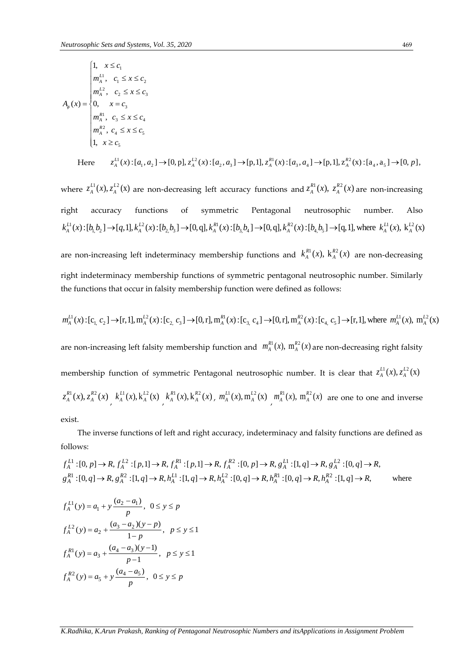$$
A_{\phi}(x) = \begin{cases} 1, & x \leq c_1 \\ m_A^{L1}, & c_1 \leq x \leq c_2 \\ m_A^{L2}, & c_2 \leq x \leq c_3 \\ 0, & x = c_3 \\ m_A^{R1}, & c_3 \leq x \leq c_4 \\ m_A^{R2}, & c_4 \leq x \leq c_5 \\ 1, & x \geq c_5 \end{cases}
$$
  
Here  $z_A^{L1}(x): [a_1, a_2] \rightarrow [0, p], z_A^{L2}(x): [a_2, a_3] \rightarrow [p, 1], z_A^{R1}(x): [a_3, a_4] \rightarrow [p, 1], z_A^{R2}(x): [a_4, a_5] \rightarrow [0, p],$ 

Here 
$$
z_A^{L1}(x) : [a_1, a_2] \to [0, p], z_A^{L2}(x) : [a_2, a_3] \to [p, 1], z_A^{R1}(x) : [a_3, a_4] \to [p, 1], z_A^{R2}(x) : [a_4, a_5] \to [0, p],
$$

where  $z_A^{L1}(x), z_A^{L2}(x)$  are non-decreasing left accuracy functions and  $z_A^{R1}(x), z_A^{R2}(x)$  are non-increasing right accuracy functions of symmetric Pentagonal neutrosophic number. Also the accuracy functions of symmetric Pentagonal neutrosophic number. Althorne  $A^1(x)$ :  $[b_1b_2] \rightarrow [q,1], k_A^{L2}(x)$ :  $[b_2b_3] \rightarrow [0,q], k_A^{R1}(x)$ :  $[b_3b_4] \rightarrow [0,q], k_A^{R2}(x)$ :  $[b_4b_5] \rightarrow [q,1]$ , where  $k_A^{L1}(x)$ ,  $k_A^{L2}(x)$ where  $z_A^{L1}(x), z_A^{L2}(x)$  are non-decreasing left accuracy functions and  $z_A^{R1}(x), z_A^{R2}(x)$  are non-increasing<br>right accuracy functions of symmetric Pentagonal neutrosophic number. Also<br> $k_A^{L1}(x): [b_1b_2] \rightarrow [q,1], k_A^{L2}(x): [b_2$ 

are non-increasing left indeterminacy membership functions and  $k_A^{R1}(x)$ ,  $k_A^{R2}(x)$  are non-decreasing right indeterminacy membership functions of symmetric pentagonal neutrosophic number. Similarly the functions that occur in falsity membership function were defined as follows:

the functions that occur in falsity membership function were defined as follows:  
\n
$$
m_A^{L1}(x) : [c_1, c_2] \rightarrow [r, 1], m_A^{L2}(x) : [c_2, c_3] \rightarrow [0, r], m_A^{R1}(x) : [c_3, c_4] \rightarrow [0, r], m_A^{R2}(x) : [c_4, c_5] \rightarrow [r, 1],
$$
\nwhere  $m_A^{L1}(x)$ ,  $m_A^{L2}(x)$ 

are non-increasing left falsity membership function and  $m_A^{R1}(x)$ ,  $m_A^{R2}(x)$  are non-decreasing right falsity membership function of symmetric Pentagonal neutrosophic number. It is clear that  $z_A^{L1}(x), z_A^{L2}(x)$  $z_A^{R1}(x), z_A^{R2}(x)$ ,  $k_A^{L1}(x), k_A^{L2}(x)$ ,  $k_A^{R1}(x), k_A^{R2}(x)$ ,  $m_A^{L1}(x), m_A^{L2}(x)$ ,  $m_A^{R1}(x), m_A^{R2}(x)$  are one to one and inverse exist.

The inverse functions of left and right accuracy, indeterminacy and falsity functions are defined as ollows:<br>  $f_A^{L1}:[0, p] \to R, f_A^{L2}:[p, 1] \to R, f_A^{R1}:[p, 1] \to R, f_A^{R2}:[0, p] \to R, g_A^{L1}:[1, q] \to R, g_A^{L2}:[0, q] \to R,$ <br>  $f_A^{R1}:[0, q] \to R$ follows: lows:<br>  ${}^{1}:[0,p] \to R, f_A^{L2}:[p,1] \to R, f_A^{R1}:[p,1] \to R, f_A^{R2}:[0,p] \to R, g_A^{L1}:[1,q] \to R, g_A^{L2}$ Ilows:<br>  $\frac{L^1}{4}$ :  $[0, p] \to R$ ,  $f_A^{L^2}$ :  $[p, 1] \to R$ ,  $f_A^{R1}$ :  $[p, 1] \to R$ ,  $f_A^{R2}$ :  $[0, p] \to R$ ,  $g_A^{L1}$ :  $[1, q] \to R$ ,  $g_A^{L1}$ 

follows:  
\n
$$
f_A^{L1}:[0, p] \to R, f_A^{L2}:[p, 1] \to R, f_A^{R1}:[p, 1] \to R, f_A^{R2}:[0, p] \to R, g_A^{L1}:[1, q] \to R, g_A^{L2}:[0, q] \to R,
$$
\n
$$
g_A^{R1}:[0, q] \to R, g_A^{R2}:[1, q] \to R, h_A^{L1}:[1, q] \to R, h_A^{L2}:[0, q] \to R, h_A^{R1}:[0, q] \to R, h_A^{R2}:[1, q] \to R,
$$
\nwhere

$$
f_A^{L1}(y) = a_1 + y \frac{(a_2 - a_1)}{p}, \quad 0 \le y \le p
$$
  

$$
f_A^{L2}(y) = a_2 + \frac{(a_3 - a_2)(y - p)}{1 - p}, \quad p \le y \le 1
$$
  

$$
f_A^{R1}(y) = a_3 + \frac{(a_4 - a_3)(y - 1)}{p - 1}, \quad p \le y \le 1
$$
  

$$
f_A^{R2}(y) = a_5 + y \frac{(a_4 - a_5)}{p}, \quad 0 \le y \le p
$$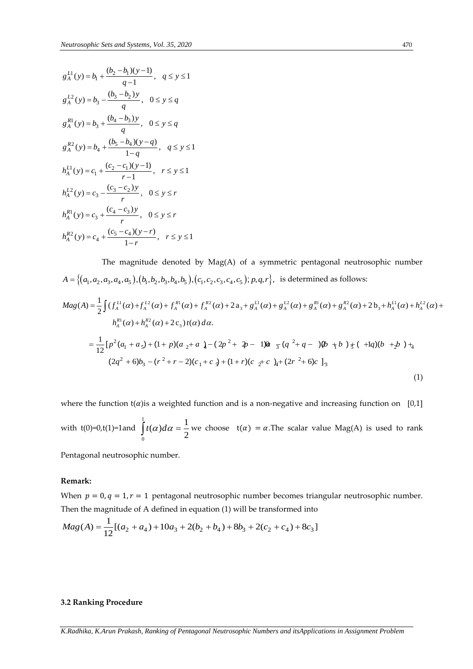$$
g_A^{L1}(y) = b_1 + \frac{(b_2 - b_1)(y - 1)}{q - 1}, \quad q \le y \le 1
$$
  
\n
$$
g_A^{L2}(y) = b_3 - \frac{(b_3 - b_2)y}{q}, \quad 0 \le y \le q
$$
  
\n
$$
g_A^{R1}(y) = b_3 + \frac{(b_4 - b_3)y}{q}, \quad 0 \le y \le q
$$
  
\n
$$
g_A^{R2}(y) = b_4 + \frac{(b_5 - b_4)(y - q)}{1 - q}, \quad q \le y \le 1
$$
  
\n
$$
h_A^{L1}(y) = c_1 + \frac{(c_2 - c_1)(y - 1)}{r - 1}, \quad r \le y \le 1
$$
  
\n
$$
h_A^{L2}(y) = c_3 - \frac{(c_3 - c_2)y}{r}, \quad 0 \le y \le r
$$
  
\n
$$
h_A^{R1}(y) = c_3 + \frac{(c_4 - c_3)y}{r}, \quad 0 \le y \le r
$$
  
\n
$$
h_A^{R2}(y) = c_4 + \frac{(c_5 - c_4)(y - r)}{1 - r}, \quad r \le y \le 1
$$

The magnitude denoted by Mag(A) of a symmetric pentagonal neutrosophic number The magnitude denoted by Mag(A) of a symmetric pentagonal neutrosophic number<br>  $A = \{(a_1, a_2, a_3, a_4, a_5), (b_1, b_2, b_3, b_4, b_5), (c_1, c_2, c_3, c_4, c_5); p, q, r\}$ , is determined as follows:<br>  $Mag(A) = \frac{1}{2} \int (f_A^{L1}(\alpha) + f_A^{L2}(\alpha) + f_A^{$ 

$$
A = \{(a_1, a_2, a_3, a_4, a_5), (b_1, b_2, b_3, b_4, b_5), (c_1, c_2, c_3, c_4, c_5); p, q, r\}, \text{ is determined as follows:}
$$
\n
$$
Mag(A) = \frac{1}{2} \int (f_A^{L1}(\alpha) + f_A^{L2}(\alpha) + f_A^{R1}(\alpha) + f_A^{R2}(\alpha) + 2a_3 + g_A^{L1}(\alpha) + g_A^{L2}(\alpha) + g_A^{R1}(\alpha) + g_A^{R2}(\alpha) + 2b_3 + h_A^{L1}(\alpha) + h_A^{L2}(\alpha) + h_A^{R1}(\alpha) + h_A^{R2}(\alpha) + 2c_3 \}t(\alpha) d\alpha.
$$
\n
$$
= \frac{1}{12} [p^2(a_1 + a_5) + (1 + p)(a_2 + a_4) - (2p^2 + 2p - 1)\alpha_5 (q^2 + q - 1)\beta_6 + p^3 + (1 + q)(b_3 + b_4) + 2b_4]
$$
\n
$$
(2q^2 + 6)b_3 - (r^2 + r - 2)(c_1 + c_3) + (1 + r)(c_2 + c_4) + (2r^2 + 6)c_1
$$
\n
$$
(1)
$$

where the function  $t(\alpha)$  is a weighted function and is a non-negative and increasing function on [0,1] with  $t(0)=0$ , $t(1)=1$  and  $\int t(\alpha)d\alpha =$ 1  $\int_{0}^{1}$  (ii) iii 2  $t(\alpha)d\alpha = \frac{1}{\alpha}$  we choose  $t(\alpha) = \alpha$ . The scalar value Mag(A) is used to rank

Pentagonal neutrosophic number.

#### **Remark:**

When  $p = 0$ ,  $q = 1$ ,  $r = 1$  pentagonal neutrosophic number becomes triangular neutrosophic number. When  $p = 0, q = 1, r = 1$  pentagonal neutrosophic number becomes triangula<br>Then the magnitude of A defined in equation (1) will be transformed into<br> $Mag(A) = \frac{1}{12}[(a_2 + a_4) + 10a_3 + 2(b_2 + b_4) + 8b_3 + 2(c_2 + c_4) + 8c_3]$ 

$$
Mag(A) = \frac{1}{12} [(a_2 + a_4) + 10a_3 + 2(b_2 + b_4) + 8b_3 + 2(c_2 + c_4) + 8c_3]
$$

## **3.2 Ranking Procedure**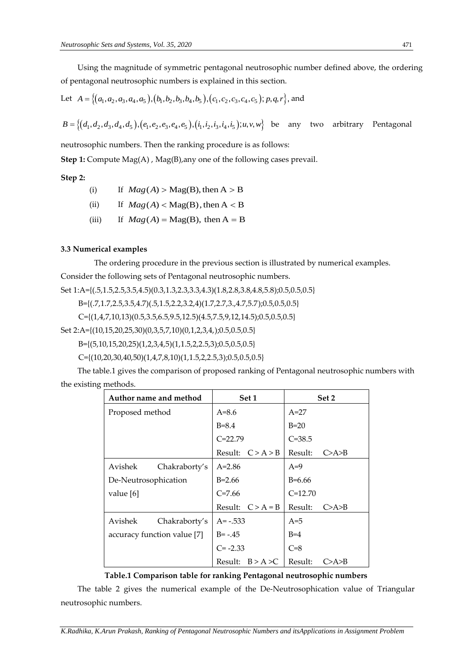Using the magnitude of symmetric pentagonal neutrosophic number defined above, the ordering of pentagonal neutrosophic numbers is explained in this section.

of pentagonal neutrosophic numbers is explained in this section.<br>Let  $A = \{(a_1, a_2, a_3, a_4, a_5), (b_1, b_2, b_3, b_4, b_5), (c_1, c_2, c_3, c_4, c_5); p, q, r\}$ , and

 $B = \{(d_1, d_2, d_3, d_4, d_5), (e_1, e_2, e_3, e_4, e_5), (i_1, i_2, i_3, i_4, i_5); u, v, w\}$  be any two arbitrary Pentagonal

neutrosophic numbers. Then the ranking procedure is as follows:

**Step 1:** Compute Mag(A), Mag(B), any one of the following cases prevail.

## **Step 2:**

- (i) If  $Mag(A) > Mag(B)$ , then  $A > B$
- $(ii)$ If  $Mag(A) < Mag(B)$ , then  $A < B$
- $(iii)$ If  $Mag(A) = Mag(B)$ , then  $A = B$

## **3.3 Numerical examples**

The ordering procedure in the previous section is illustrated by numerical examples. Consider the following sets of Pentagonal neutrosophic numbers.

Set 1:A={(.5,1.5,2.5,3.5,4.5)(0.3,1.3,2.3,3.3,4.3)(1.8,2.8,3.8,4.8,5.8);0.5,0.5,0.5}

B={(.7,1.7,2.5,3.5,4.7)(.5,1.5,2.2,3.2,4)(1.7,2.7,3.,4.7,5.7);0.5,0.5,0.5}

 $C=[(1,4,7,10,13)(0.5,3.5,6.5,9.5,12.5)(4.5,7.5,9,12,14.5);0.5,0.5,0.5]$ 

Set 2:A={(10,15,20,25,30)(0,3,5,7,10)(0,1,2,3,4,);0.5,0.5,0.5}

B={(5,10,15,20,25)(1,2,3,4,5)(1,1.5,2,2.5,3);0.5,0.5,0.5}

C={(10,20,30,40,50)(1,4,7,8,10)(1,1.5,2,2.5,3);0.5,0.5,0.5}

The table.1 gives the comparison of proposed ranking of Pentagonal neutrosophic numbers with the existing methods.

|                             | Author name and method |              | Set 1       | Set 2      |       |
|-----------------------------|------------------------|--------------|-------------|------------|-------|
| Proposed method             |                        | $A=8.6$      |             | $A=27$     |       |
|                             |                        | $B = 8.4$    |             | $B=20$     |       |
|                             |                        | $C = 22.79$  |             | $C = 38.5$ |       |
|                             |                        | Result:      | C > A > B   | Result:    | C>A>B |
| Avishek                     | Chakraborty's          | $A = 2.86$   |             | $A=9$      |       |
| De-Neutrosophication        |                        | $B=2.66$     |             | B=6.66     |       |
| value [6]                   |                        | $C = 7.66$   |             | $C=12.70$  |       |
|                             |                        | Result:      | $C > A = B$ | Result:    | C>A>B |
| Avishek                     | Chakraborty's          | $A = -0.533$ |             | $A=5$      |       |
| accuracy function value [7] |                        | $B = -0.45$  |             | $B=4$      |       |
|                             |                        | $C = -2.33$  |             | $C=8$      |       |
|                             |                        | Result:      | B > A > C   | Result:    | C>A>B |

## **Table.1 Comparison table for ranking Pentagonal neutrosophic numbers**

The table 2 gives the numerical example of the De-Neutrosophication value of Triangular neutrosophic numbers.

*K.Radhika, K.Arun Prakash, Ranking of Pentagonal Neutrosophic Numbers and itsApplications in Assignment Problem*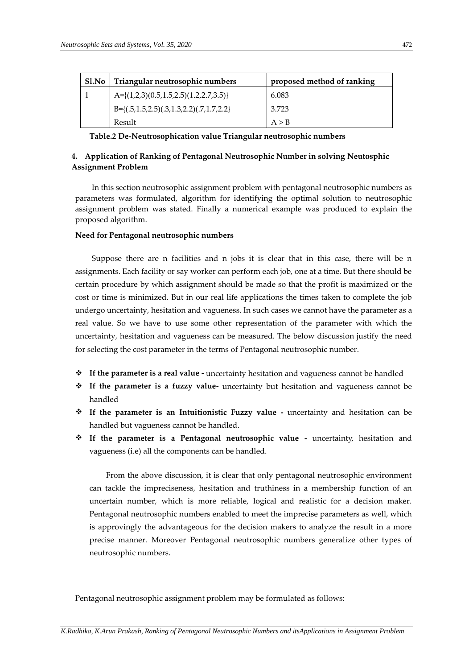| Sl.No | Triangular neutrosophic numbers                        | proposed method of ranking |
|-------|--------------------------------------------------------|----------------------------|
|       | $A = \{(1,2,3)(0.5,1.5,2.5)(1.2,2.7,3.5)\}$            | 6.083                      |
|       | $B=\{(.5, 1.5, 2.5), (.3, 1.3, 2.2), (.7, 1.7, 2.2)\}$ | 3.723                      |
|       | Result                                                 | A > B                      |

**Table.2 De-Neutrosophication value Triangular neutrosophic numbers**

# **4. Application of Ranking of Pentagonal Neutrosophic Number in solving Neutosphic Assignment Problem**

In this section neutrosophic assignment problem with pentagonal neutrosophic numbers as parameters was formulated, algorithm for identifying the optimal solution to neutrosophic assignment problem was stated. Finally a numerical example was produced to explain the proposed algorithm.

# **Need for Pentagonal neutrosophic numbers**

Suppose there are n facilities and n jobs it is clear that in this case, there will be n assignments. Each facility or say worker can perform each job, one at a time. But there should be certain procedure by which assignment should be made so that the profit is maximized or the cost or time is minimized. But in our real life applications the times taken to complete the job undergo uncertainty, hesitation and vagueness. In such cases we cannot have the parameter as a real value. So we have to use some other representation of the parameter with which the uncertainty, hesitation and vagueness can be measured. The below discussion justify the need for selecting the cost parameter in the terms of Pentagonal neutrosophic number.

- **If the parameter is a real value -** uncertainty hesitation and vagueness cannot be handled
- **If the parameter is a fuzzy value-** uncertainty but hesitation and vagueness cannot be handled
- **If the parameter is an Intuitionistic Fuzzy value -** uncertainty and hesitation can be handled but vagueness cannot be handled.
- **If the parameter is a Pentagonal neutrosophic value -** uncertainty, hesitation and vagueness (i.e) all the components can be handled.

From the above discussion, it is clear that only pentagonal neutrosophic environment can tackle the impreciseness, hesitation and truthiness in a membership function of an uncertain number, which is more reliable, logical and realistic for a decision maker. Pentagonal neutrosophic numbers enabled to meet the imprecise parameters as well, which is approvingly the advantageous for the decision makers to analyze the result in a more precise manner. Moreover Pentagonal neutrosophic numbers generalize other types of neutrosophic numbers.

Pentagonal neutrosophic assignment problem may be formulated as follows: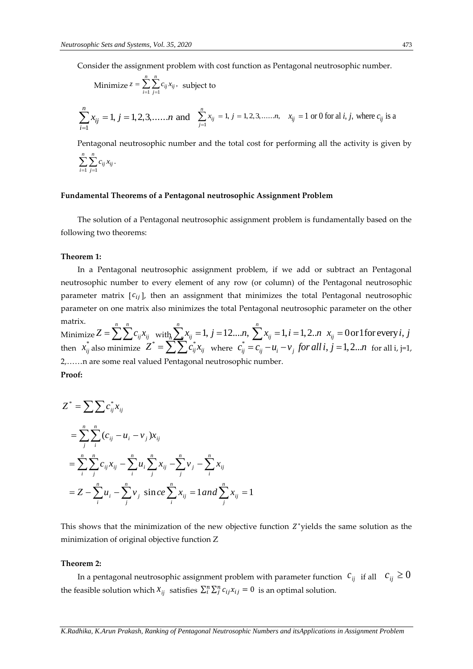Consider the assignment problem with cost function as Pentagonal neutrosophic number.

Minimize 
$$
z = \sum_{i=1}^{n} \sum_{j=1}^{n} c_{ij} x_{ij}
$$
, subject to

$$
\sum_{i=1}^{n} x_{ij} = 1, j = 1, 2, 3, \dots, n \text{ and } \sum_{j=1}^{n} x_{ij} = 1, j = 1, 2, 3, \dots, n, \quad x_{ij} = 1 \text{ or } 0 \text{ for all } i, j, \text{ where } c_{ij} \text{ is a}
$$

Pentagonal neutrosophic number and the total cost for performing all the activity is given by

$$
\sum_{i=1}^n\sum_{j=1}^n c_{ij}x_{ij}.
$$

#### **Fundamental Theorems of a Pentagonal neutrosophic Assignment Problem**

The solution of a Pentagonal neutrosophic assignment problem is fundamentally based on the following two theorems:

## **Theorem 1:**

In a Pentagonal neutrosophic assignment problem, if we add or subtract an Pentagonal neutrosophic number to every element of any row (or column) of the Pentagonal neutrosophic parameter matrix  $[c_{ij}]$ , then an assignment that minimizes the total Pentagonal neutrosophic parameter on one matrix also minimizes the total Pentagonal neutrosophic parameter on the other matrix. *n i* on one matrix also minimizes the total Pentagonal neutrosophic parameter on the oth  $Z = \sum_{i=1}^{n} \sum_{j=1}^{n} c_{ij} x_{ij}$  with  $\sum_{i=1}^{n} x_{ij} = 1$ ,  $j = 12...n$ ,  $\sum_{i=1}^{n} x_{ij} = 1$ ,  $i = 1, 2...n$ ,  $x_{ij} = 0$  or 1 for every *i*, parameter matrix  $[c_{ij}]$ , then an assignment that minimizes the total Pentagonal neutrosophic<br>parameter on one matrix also minimizes the total Pentagonal neutrosophic parameter on the other<br>matrix.<br>Minimize  $Z = \sum_{i=1}^{n} \sum$ 

 $\text{Minimize } Z = \sum_{n=1}^{n} \sum_{n=1}^{n}$  $\sum_{ij} = 1, j = 12...n, \sum_{i=1}^{n} x_{ij} = 1, i = 1, 2...n$   $x_{ij}$  $Z^* = \sum \sum c_{ij}^* x_{ij}$  where  $c_{ij}^*$ *i j* 2,……n are some real valued Pentagonal neutrosophic number. .*n*,  $\sum x_{ij} = 1, i = 1, 2..n$   $x_{ij} = 0$  or 1 for every *i*, *j*<br> $c_{ij}^* = c_{ij} - u_i - v_j$  *for all i*,  $j = 1, 2...n$  for all i, j=1, **Proof:**

$$
Z^* = \sum \sum c_{ij}^* x_{ij}
$$
  
=  $\sum_{j}^{n} \sum_{i}^{n} (c_{ij} - u_i - v_j) x_{ij}$   
=  $\sum_{i}^{n} \sum_{j}^{n} c_{ij} x_{ij} - \sum_{i}^{n} u_i \sum_{j}^{n} x_{ij} - \sum_{j}^{n} v_j - \sum_{i}^{n} x_{ij}$   
=  $Z - \sum_{i}^{n} u_i - \sum_{j}^{n} v_j \text{ since } \sum_{i}^{n} x_{ij} = 1$  and  $\sum_{j}^{n} x_{ij} = 1$ 

This shows that the minimization of the new objective function  $Z^*$ yields the same solution as the minimization of original objective function Z

#### **Theorem 2:**

In a pentagonal neutrosophic assignment problem with parameter function  $|c_{\vec{y}}|$  if all  $|c_{\vec{y}}| \geq 0$ the feasible solution which  $x_{ij}$  satisfies  $\sum_i^n \sum_j^n c_{ij} x_{ij} = 0$  is an optimal solution.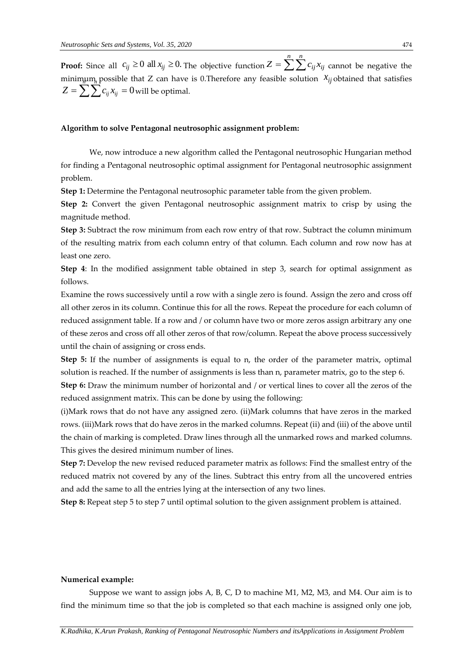**Proof:** Since all  $c_{ij} \ge 0$  all  $x_{ij} \ge 0$ . The objective function  $Z = \sum_{i=1}^{n} \sum_{j=1}^{n} c_{ij} x_{ij}$  cannot be negative the  $\min$ <sub>*j*</sub> possible that Z can have is 0.Therefore any feasible solution  $\hat{x}_{ij}$  obtained that satisfies  $Z = \sum_{i=1}^{n} \sum_{j=1}^{n} c_{ij} x_{ij} = 0$  will be optimal. *j i*

*n n*

## **Algorithm to solve Pentagonal neutrosophic assignment problem:**

We, now introduce a new algorithm called the Pentagonal neutrosophic Hungarian method for finding a Pentagonal neutrosophic optimal assignment for Pentagonal neutrosophic assignment problem.

**Step 1:** Determine the Pentagonal neutrosophic parameter table from the given problem.

**Step 2:** Convert the given Pentagonal neutrosophic assignment matrix to crisp by using the magnitude method.

**Step 3:** Subtract the row minimum from each row entry of that row. Subtract the column minimum of the resulting matrix from each column entry of that column. Each column and row now has at least one zero.

**Step 4**: In the modified assignment table obtained in step 3, search for optimal assignment as follows.

Examine the rows successively until a row with a single zero is found. Assign the zero and cross off all other zeros in its column. Continue this for all the rows. Repeat the procedure for each column of reduced assignment table. If a row and / or column have two or more zeros assign arbitrary any one of these zeros and cross off all other zeros of that row/column. Repeat the above process successively until the chain of assigning or cross ends.

**Step 5:** If the number of assignments is equal to n, the order of the parameter matrix, optimal solution is reached. If the number of assignments is less than n, parameter matrix, go to the step 6.

**Step 6:** Draw the minimum number of horizontal and / or vertical lines to cover all the zeros of the reduced assignment matrix. This can be done by using the following:

(i)Mark rows that do not have any assigned zero. (ii)Mark columns that have zeros in the marked rows. (iii)Mark rows that do have zeros in the marked columns. Repeat (ii) and (iii) of the above until the chain of marking is completed. Draw lines through all the unmarked rows and marked columns. This gives the desired minimum number of lines.

**Step 7:** Develop the new revised reduced parameter matrix as follows: Find the smallest entry of the reduced matrix not covered by any of the lines. Subtract this entry from all the uncovered entries and add the same to all the entries lying at the intersection of any two lines.

**Step 8:** Repeat step 5 to step 7 until optimal solution to the given assignment problem is attained.

## **Numerical example:**

Suppose we want to assign jobs A, B, C, D to machine M1, M2, M3, and M4. Our aim is to find the minimum time so that the job is completed so that each machine is assigned only one job,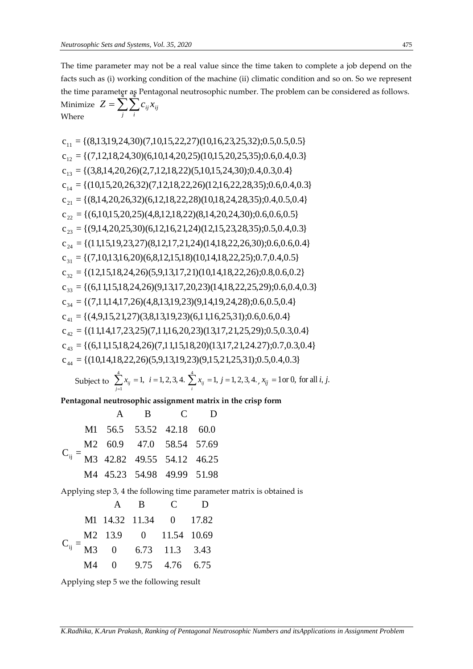The time parameter may not be a real value since the time taken to complete a job depend on the facts such as (i) working condition of the machine (ii) climatic condition and so on. So we represent the time parameter as Pentagonal neutrosophic number. The problem can be considered as follows. Minimize  $Z = \sum_{i} \sum_{i}$  $Z = \sum \sum c_{ij} x_{ij}$ 

where  
\n
$$
G_{11} = {(8,13,19,24,30)(7,10,15,22,27)(10,16,23,25,32);0.5,0.5,0.5}
$$
\n
$$
c_{12} = {(7,12,18,24,30)(6,10,14,20,25)(10,15,20,25,35);0.6,0.4,0.3}
$$
\n
$$
c_{13} = {(3,8,14,20,26)(2,7,12,18,22)(5,10,15,24,30);0.4,0.3,0.4}
$$
\n
$$
c_{14} = {(10,15,20,26,32)(7,12,18,22,26)(12,16,22,28,35);0.6,0.4,0.3}
$$
\n
$$
c_{21} = {(8,14,20,26,32)(6,12,18,22,28)(10,18,24,28,35);0.4,0.5,0.4}
$$
\n
$$
c_{22} = {(6,10,15,20,25)(4,8,12,18,22)(8,14,20,24,30);0.6,0.6,0.5}
$$
\n
$$
c_{23} = {(9,14,20,25,30)(6,12,16,21,24)(12,15,23,28,35);0.5,0.4,0.3}
$$
\n
$$
c_{24} = {(11,15,19,23,27)(8,12,17,21,24)(14,18,22,26,30);0.6,0.6,0.4}
$$
\n
$$
c_{31} = {(7,10,13,16,20)(6,8,12,15,18)(10,14,18,22,25);0.7,0.4,0.5}
$$
\n
$$
c_{32} = {(12,15,18,24,26)(5,9,13,17,21)(10,14,18,22,25,29);0.6,0.6,0.2}
$$
\n
$$
c_{33} = {(6,11,15,18,24,26)(9,13,17,20,23)(14,18,2
$$

$$
= \{ (10,14,18,22,26)(5,9,13,19,23)(9,15,21,25,31); 0.5,0.4,0.3 \}
$$
  
Subject to 
$$
\sum_{j=1}^{4} x_{ij} = 1, i = 1,2,3,4.
$$

$$
\sum_{i}^{4} x_{ij} = 1, j = 1,2,3,4.
$$

$$
x_{ij} = 1 \text{ or } 0 \text{, for all } i, j.
$$

**Pentagonal neutrosophic assignment matrix in the crisp form**

|                                                  |  | A B C D                    |  |
|--------------------------------------------------|--|----------------------------|--|
| $C_{ij} = \frac{M2}{M3}$ 42.82 49.55 54.12 46.25 |  | M1 56.5 53.52 42.18 60.0   |  |
|                                                  |  |                            |  |
|                                                  |  |                            |  |
|                                                  |  | M4 45.23 54.98 49.99 51.98 |  |

Applying step 3, 4 the following time parameter matrix is obtained is

|  |  | A B C D                        |  |
|--|--|--------------------------------|--|
|  |  | M1 14.32 11.34 0 17.82         |  |
|  |  | M2 13.9 0 11.54 10.69          |  |
|  |  | $C_{ij} = M3$ 0 6.73 11.3 3.43 |  |
|  |  | M4 0 9.75 4.76 6.75            |  |

Applying step 5 we the following result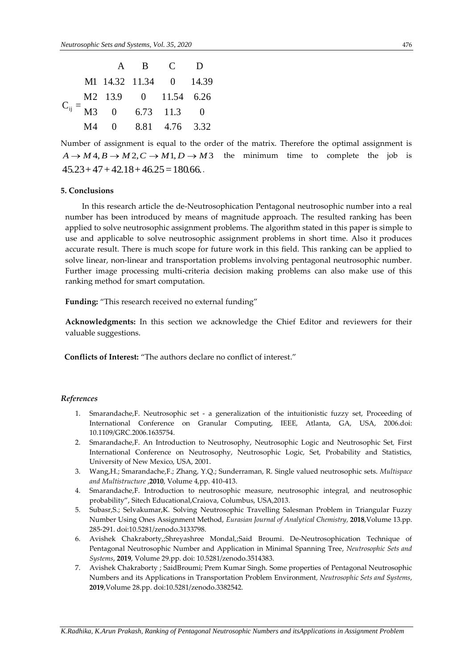|  |  | A B C D                     |  |
|--|--|-----------------------------|--|
|  |  | M1 14.32 11.34 0 14.39      |  |
|  |  | M2 13.9 0 11.54 6.26        |  |
|  |  | $C_{ij} = M3$ 0 6.73 11.3 0 |  |
|  |  | M4 0 8.81 4.76 3.32         |  |

Number of assignment is equal to the order of the matrix. Therefore the optimal assignment is  $A \rightarrow M_4, B \rightarrow M_2, C \rightarrow M_1, D \rightarrow M_3$  the minimum time to complete the job is  $45.23+47+42.18+46.25=180.66$ .

## **5. Conclusions**

In this research article the de-Neutrosophication Pentagonal neutrosophic number into a real number has been introduced by means of magnitude approach. The resulted ranking has been applied to solve neutrosophic assignment problems. The algorithm stated in this paper is simple to use and applicable to solve neutrosophic assignment problems in short time. Also it produces accurate result. There is much scope for future work in this field. This ranking can be applied to solve linear, non-linear and transportation problems involving pentagonal neutrosophic number. Further image processing multi-criteria decision making problems can also make use of this ranking method for smart computation.

**Funding:** "This research received no external funding"

**Acknowledgments:** In this section we acknowledge the Chief Editor and reviewers for their valuable suggestions.

**Conflicts of Interest:** "The authors declare no conflict of interest."

## *References*

- 1. Smarandache,F. Neutrosophic set a generalization of the intuitionistic fuzzy set, Proceeding of International Conference on Granular Computing, IEEE*,* Atlanta, GA, USA, 2006.doi: 10.1109/GRC.2006.1635754.
- 2. Smarandache,F. An Introduction to Neutrosophy, Neutrosophic Logic and Neutrosophic Set*,* First International Conference on Neutrosophy, Neutrosophic Logic, Set, Probability and Statistics, University of New Mexico, USA, 2001.
- 3. Wang,H.; Smarandache,F.; Zhang, Y.Q.; Sunderraman, R. Single valued neutrosophic sets. *Multispace and Multistructure* ,**2010**, Volume 4,pp. 410-413.
- 4. Smarandache,F. Introduction to neutrosophic measure, neutrosophic integral, and neutrosophic probability", Sitech Educational,Craiova, Columbus, USA,2013.
- 5. Subasr,S.; Selvakumar,K. Solving Neutrosophic Travelling Salesman Problem in Triangular Fuzzy Number Using Ones Assignment Method, *Eurasian Journal of Analytical Chemistry,* **2018**,Volume 13.pp. 285-291. doi:10.5281/zenodo.3133798.
- 6. Avishek Chakraborty,;Shreyashree Mondal,;Said Broumi. De-Neutrosophication Technique of Pentagonal Neutrosophic Number and Application in Minimal Spanning Tree, *Neutrosophic Sets and Systems*, **2019**, Volume 29.pp. doi: 10.5281/zenodo.3514383.
- 7. Avishek Chakraborty ; SaidBroumi; Prem Kumar Singh. Some properties of Pentagonal Neutrosophic Numbers and its Applications in Transportation Problem Environment*, Neutrosophic Sets and Systems*, **2019**,Volume 28.pp. doi:10.5281/zenodo.3382542.